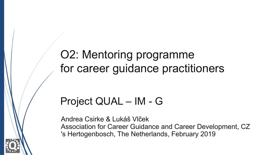O2: Mentoring programme for career guidance practitioners

### Project QUAL – IM - G

Andrea Csirke & Lukáš Vlček Association for Career Guidance and Career Development, CZ 's Hertogenbosch, The Netherlands, February 2019

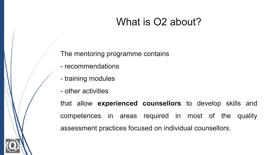### What is O2 about?

The mentoring programme contains

- recommendations
- training modules
- other activities

that allow **experienced counsellors** to develop skills and competences in areas required in most of the quality assessment practices focused on individual counsellors.

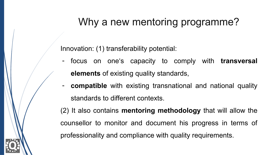## Why a new mentoring programme?

Innovation: (1) transferability potential:

- focus on one's capacity to comply with **transversal elements** of existing quality standards,
- **compatible** with existing transnational and national quality standards to different contexts.

(2) It also contains **mentoring methodology** that will allow the counsellor to monitor and document his progress in terms of professionality and compliance with quality requirements.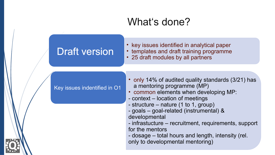### What's done?

### Draft version

- key issues identified in analytical paper
- templates and draft training programme
- 25 draft modules by all partners

Key issues indentified in O1

- only 14% of audited quality standards (3/21) has a mentoring programme (MP)
- common elements when developing MP:
- context location of meetings
- structure nature (1 to 1, group)
- goals goal-related (instrumental) & developmental
- infrastucture recruitment, requirements, support for the mentors
- dosage total hours and length, intensity (rel. only to developmental mentoring)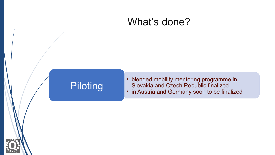### What's done?

# **Piloting**

• blended mobility mentoring programme in Slovakia and Czech Rebublic finalized • in Austria and Germany soon to be finalized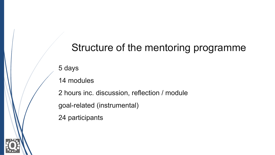### Structure of the mentoring programme

5 days

14 modules

2 hours inc. discussion, reflection / module goal-related (instrumental)

24 participants

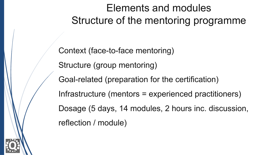# Elements and modules Structure of the mentoring programme

Context (face-to-face mentoring) Structure (group mentoring) Goal-related (preparation for the certification) Infrastructure (mentors = experienced practitioners) Dosage (5 days, 14 modules, 2 hours inc. discussion, reflection / module)

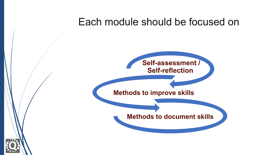### Each module should be focused on



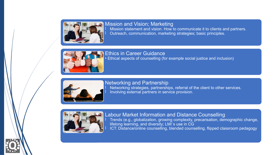

### Mission and Vision; Marketing

Mission statement and vision. How to communicate it to clients and partners. Outreach, communication, marketing strategies; basic principles.



Ethics in Career Guidance • Ethical aspects of counselling (for example social justice and inclusion)



Networking and Partnership Networking strategies, partnerships, referral of the client to other services. Involving external partners in service provision.



Labour Market Information and Distance Counselling l Trends (e.g., globalization, growing complexity, precarisation, demographic change, lifelong learning, and diversity; LMI´s use in CG l ICT: Distance/online counselling, blended counselling, flipped classroom pedagogy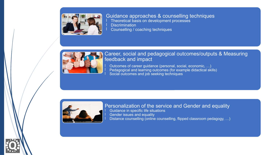

#### Guidance approaches & counselling techniques

- Theoretical basis on development processes
- **Discrimination**
- Counselling / coaching techniques



### Career, social and pedagogical outcomes/outputs & Measuring feedback and impact

Outcomes of career guidance (personal, social, economic, ...) Pedagogical and learning outcomes (for example didactical skills) Social outcomes and job seeking techniques



#### Personalization of the service and Gender and equality Guidance in specific life situations Gender issues and equality Distance counselling (online counselling, flipped classroom pedagogy, ...)

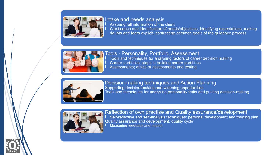

#### Intake and needs analysis Assuring full information of the client Clarification and identification of needs/objectives, identifying expectations, making doubts and fears explicit, contracting common goals of the guidance process



Tools - Personality, Portfolio, Assessment Tools and techniques for analysing factors of career decision making Career portfolios: steps in building career portfolios Assessments; ethics of assessments and testing



Decision-making techniques and Action Planning Supporting decision-making and widening opportunities Tools and techniques for analysing personality traits and guiding decision-making



Reflection of own practise and Quality assurance/development Self-reflective and self-analysis techniques: personal development and training plan Quality assurance and development, quality cycle l Measuring feedback and impact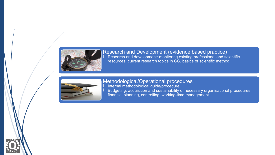

Research and Development (evidence based practice) l Research and development: monitoring existing professional and scientific resources, current research topics in CG, basics of scientific method



Methodological/Operational procedures l Internal methodological guide/procedure l Budgeting, acquisition and sustainability of necessary organisational procedures, financial planning, controlling, working-time management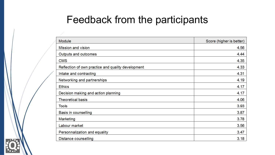## Feedback from the participants

| Module                                             | Score (higher is better) |
|----------------------------------------------------|--------------------------|
| Mission and vision                                 | 4.56                     |
| Outputs and outcomes                               | 4.44                     |
| <b>CMS</b>                                         | 4.35                     |
| Reflection of own practice and quality development | 4.33                     |
| Intake and contracting                             | 4.31                     |
| Networking and partnerships                        | 4.19                     |
| <b>Ethics</b>                                      | 4.17                     |
| Decision making and action planning                | 4.17                     |
| <b>Theoretical basis</b>                           | 4.06                     |
| <b>Tools</b>                                       | 3.93                     |
| Basis in counselling                               | 3.87                     |
| Marketing                                          | 3.78                     |
| Labour market                                      | 3.56                     |
| Personnalization and equality                      | 3.47                     |
| Distance counselling                               | 3.18                     |

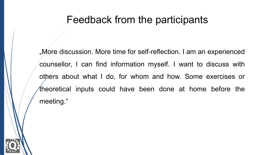### Feedback from the participants

". More discussion. More time for self-reflection. I am an experienced counsellor, I can find information myself. I want to discuss with others about what I do, for whom and how. Some exercises or theoretical inputs could have been done at home before the meeting."

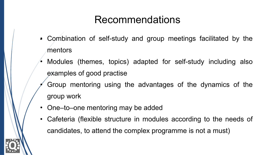## Recommendations

- •- Combination of self-study and group meetings facilitated by the mentors
- Modules (themes, topics) adapted for self-study including also examples of good practise
- Group mentoring using the advantages of the dynamics of the group work
- One–to–one mentoring may be added
- Cafeteria (flexible structure in modules according to the needs of candidates, to attend the complex programme is not a must)

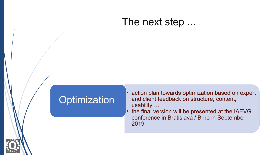### The next step ...

### **Optimization**

- action plan towards optimization based on expert and client feedback on structure, content, usability …
- the final version will be presented at the IAEVG conference in Bratislava / Brno in September 2019